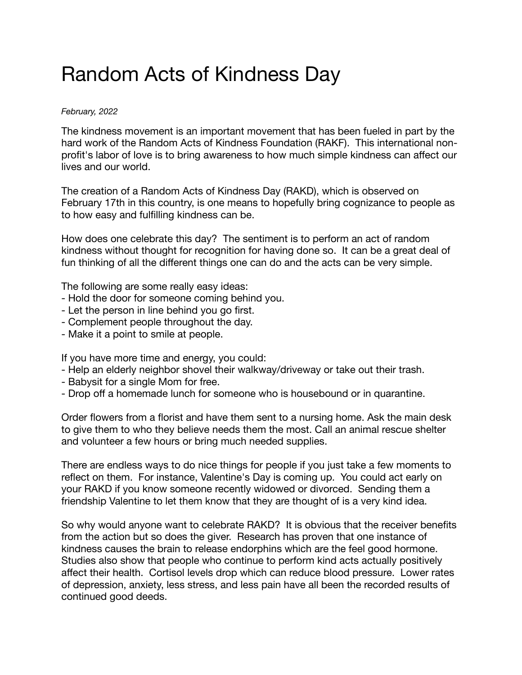## Random Acts of Kindness Day

## *February, 2022*

The kindness movement is an important movement that has been fueled in part by the hard work of the Random Acts of Kindness Foundation (RAKF). This international nonprofit's labor of love is to bring awareness to how much simple kindness can affect our lives and our world.

The creation of a Random Acts of Kindness Day (RAKD), which is observed on February 17th in this country, is one means to hopefully bring cognizance to people as to how easy and fulfilling kindness can be.

How does one celebrate this day? The sentiment is to perform an act of random kindness without thought for recognition for having done so. It can be a great deal of fun thinking of all the different things one can do and the acts can be very simple.

The following are some really easy ideas:

- Hold the door for someone coming behind you.
- Let the person in line behind you go first.
- Complement people throughout the day.
- Make it a point to smile at people.

If you have more time and energy, you could:

- Help an elderly neighbor shovel their walkway/driveway or take out their trash.
- Babysit for a single Mom for free.
- Drop off a homemade lunch for someone who is housebound or in quarantine.

Order flowers from a florist and have them sent to a nursing home. Ask the main desk to give them to who they believe needs them the most. Call an animal rescue shelter and volunteer a few hours or bring much needed supplies.

There are endless ways to do nice things for people if you just take a few moments to reflect on them. For instance, Valentine's Day is coming up. You could act early on your RAKD if you know someone recently widowed or divorced. Sending them a friendship Valentine to let them know that they are thought of is a very kind idea.

So why would anyone want to celebrate RAKD? It is obvious that the receiver benefits from the action but so does the giver. Research has proven that one instance of kindness causes the brain to release endorphins which are the feel good hormone. Studies also show that people who continue to perform kind acts actually positively affect their health. Cortisol levels drop which can reduce blood pressure. Lower rates of depression, anxiety, less stress, and less pain have all been the recorded results of continued good deeds.